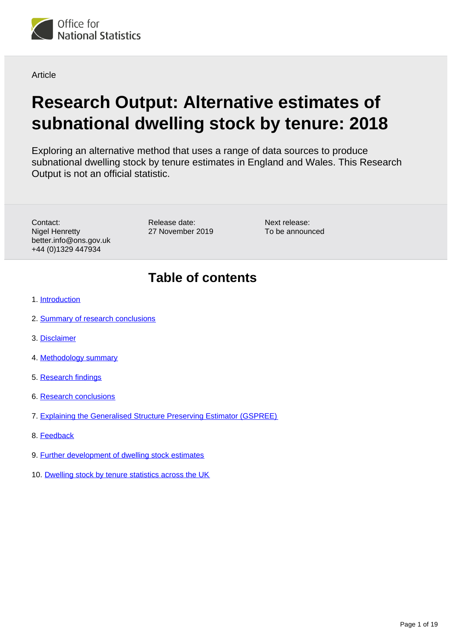<span id="page-0-0"></span>

**Article** 

# **Research Output: Alternative estimates of subnational dwelling stock by tenure: 2018**

Exploring an alternative method that uses a range of data sources to produce subnational dwelling stock by tenure estimates in England and Wales. This Research Output is not an official statistic.

Contact: Nigel Henretty better.info@ons.gov.uk +44 (0)1329 447934

Release date: 27 November 2019

Next release: To be announced

## **Table of contents**

- 1. [Introduction](#page-1-0)
- 2. [Summary of research conclusions](#page-1-1)
- 3. [Disclaimer](#page-3-0)
- 4. [Methodology summary](#page-3-1)
- 5. [Research findings](#page-5-0)
- 6. [Research conclusions](#page-15-0)
- 7. [Explaining the Generalised Structure Preserving Estimator \(GSPREE\)](#page-15-1)
- 8. [Feedback](#page-17-0)
- 9. [Further development of dwelling stock estimates](#page-17-1)
- 10. [Dwelling stock by tenure statistics across the UK](#page-18-0)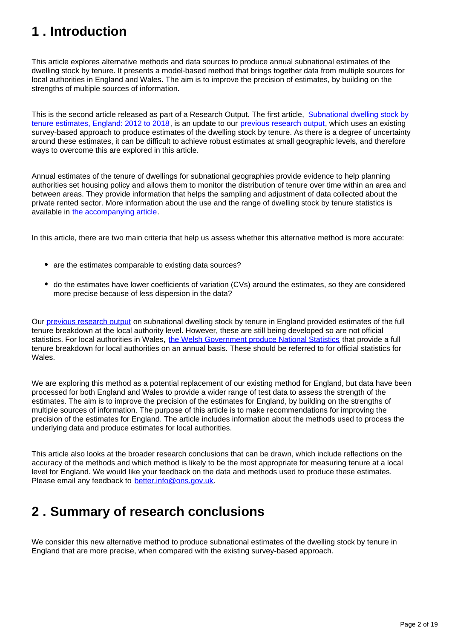## <span id="page-1-0"></span>**1 . Introduction**

This article explores alternative methods and data sources to produce annual subnational estimates of the dwelling stock by tenure. It presents a model-based method that brings together data from multiple sources for local authorities in England and Wales. The aim is to improve the precision of estimates, by building on the strengths of multiple sources of information.

This is the second article released as part of a Research Output. The first article, [Subnational dwelling stock by](https://www.ons.gov.uk/peoplepopulationandcommunity/housing/articles/researchoutputssubnationaldwellingstockbytenureestimatesengland2012to2015/2012to2018)  [tenure estimates, England: 2012 to 2018](https://www.ons.gov.uk/peoplepopulationandcommunity/housing/articles/researchoutputssubnationaldwellingstockbytenureestimatesengland2012to2015/2012to2018), is an update to our [previous research output](https://www.ons.gov.uk/peoplepopulationandcommunity/housing/articles/researchoutputssubnationaldwellingstockbytenureestimatesengland2012to2015/2012to2017), which uses an existing survey-based approach to produce estimates of the dwelling stock by tenure. As there is a degree of uncertainty around these estimates, it can be difficult to achieve robust estimates at small geographic levels, and therefore ways to overcome this are explored in this article.

Annual estimates of the tenure of dwellings for subnational geographies provide evidence to help planning authorities set housing policy and allows them to monitor the distribution of tenure over time within an area and between areas. They provide information that helps the sampling and adjustment of data collected about the private rented sector. More information about the use and the range of dwelling stock by tenure statistics is available in [the accompanying article](https://www.ons.gov.uk/peoplepopulationandcommunity/housing/articles/researchoutputssubnationaldwellingstockbytenureestimatesengland2012to2015/2012to2018).

In this article, there are two main criteria that help us assess whether this alternative method is more accurate:

- are the estimates comparable to existing data sources?
- do the estimates have lower coefficients of variation (CVs) around the estimates, so they are considered more precise because of less dispersion in the data?

Our [previous research output](https://www.ons.gov.uk/peoplepopulationandcommunity/housing/articles/researchoutputssubnationaldwellingstockbytenureestimatesengland2012to2015/2012to2017) on subnational dwelling stock by tenure in England provided estimates of the full tenure breakdown at the local authority level. However, these are still being developed so are not official statistics. For local authorities in Wales, [the Welsh Government produce National Statistics](https://statswales.gov.wales/Catalogue/Housing/Dwelling-Stock-Estimates/dwellingstockestimates-by-localauthority-tenure) that provide a full tenure breakdown for local authorities on an annual basis. These should be referred to for official statistics for Wales.

We are exploring this method as a potential replacement of our existing method for England, but data have been processed for both England and Wales to provide a wider range of test data to assess the strength of the estimates. The aim is to improve the precision of the estimates for England, by building on the strengths of multiple sources of information. The purpose of this article is to make recommendations for improving the precision of the estimates for England. The article includes information about the methods used to process the underlying data and produce estimates for local authorities.

This article also looks at the broader research conclusions that can be drawn, which include reflections on the accuracy of the methods and which method is likely to be the most appropriate for measuring tenure at a local level for England. We would like your feedback on the data and methods used to produce these estimates. Please email any feedback to better.info@ons.gov.uk.

## <span id="page-1-1"></span>**2 . Summary of research conclusions**

We consider this new alternative method to produce subnational estimates of the dwelling stock by tenure in England that are more precise, when compared with the existing survey-based approach.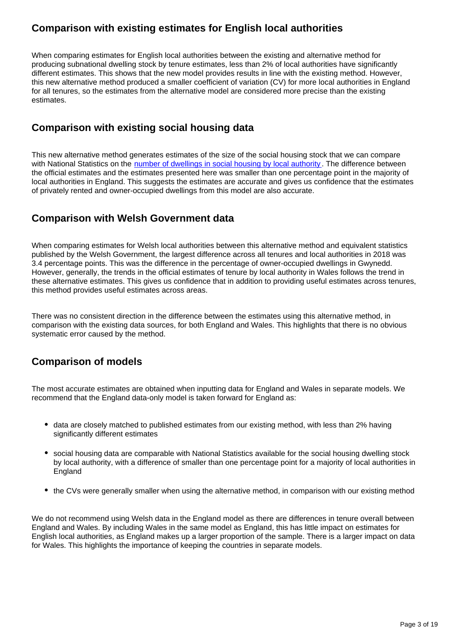### **Comparison with existing estimates for English local authorities**

When comparing estimates for English local authorities between the existing and alternative method for producing subnational dwelling stock by tenure estimates, less than 2% of local authorities have significantly different estimates. This shows that the new model provides results in line with the existing method. However, this new alternative method produced a smaller coefficient of variation (CV) for more local authorities in England for all tenures, so the estimates from the alternative model are considered more precise than the existing estimates.

### **Comparison with existing social housing data**

This new alternative method generates estimates of the size of the social housing stock that we can compare with National Statistics on the [number of dwellings in social housing by local authority](https://www.gov.uk/government/statistical-data-sets/live-tables-on-dwelling-stock-including-vacants). The difference between the official estimates and the estimates presented here was smaller than one percentage point in the majority of local authorities in England. This suggests the estimates are accurate and gives us confidence that the estimates of privately rented and owner-occupied dwellings from this model are also accurate.

### **Comparison with Welsh Government data**

When comparing estimates for Welsh local authorities between this alternative method and equivalent statistics published by the Welsh Government, the largest difference across all tenures and local authorities in 2018 was 3.4 percentage points. This was the difference in the percentage of owner-occupied dwellings in Gwynedd. However, generally, the trends in the official estimates of tenure by local authority in Wales follows the trend in these alternative estimates. This gives us confidence that in addition to providing useful estimates across tenures, this method provides useful estimates across areas.

There was no consistent direction in the difference between the estimates using this alternative method, in comparison with the existing data sources, for both England and Wales. This highlights that there is no obvious systematic error caused by the method.

### **Comparison of models**

The most accurate estimates are obtained when inputting data for England and Wales in separate models. We recommend that the England data-only model is taken forward for England as:

- data are closely matched to published estimates from our existing method, with less than 2% having significantly different estimates
- social housing data are comparable with National Statistics available for the social housing dwelling stock by local authority, with a difference of smaller than one percentage point for a majority of local authorities in **England**
- the CVs were generally smaller when using the alternative method, in comparison with our existing method

We do not recommend using Welsh data in the England model as there are differences in tenure overall between England and Wales. By including Wales in the same model as England, this has little impact on estimates for English local authorities, as England makes up a larger proportion of the sample. There is a larger impact on data for Wales. This highlights the importance of keeping the countries in separate models.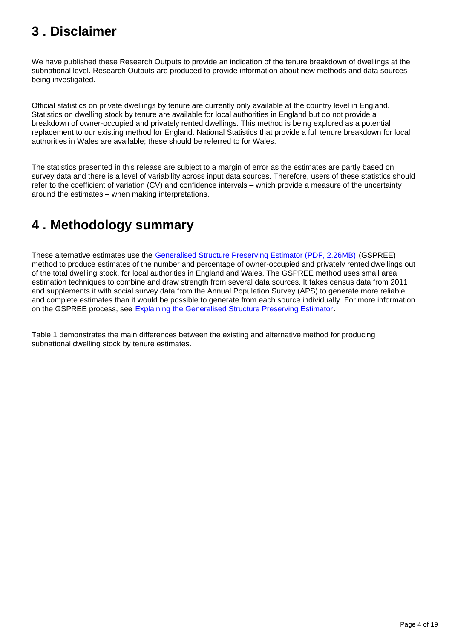## <span id="page-3-0"></span>**3 . Disclaimer**

We have published these Research Outputs to provide an indication of the tenure breakdown of dwellings at the subnational level. Research Outputs are produced to provide information about new methods and data sources being investigated.

Official statistics on private dwellings by tenure are currently only available at the country level in England. Statistics on dwelling stock by tenure are available for local authorities in England but do not provide a breakdown of owner-occupied and privately rented dwellings. This method is being explored as a potential replacement to our existing method for England. National Statistics that provide a full tenure breakdown for local authorities in Wales are available; these should be referred to for Wales.

The statistics presented in this release are subject to a margin of error as the estimates are partly based on survey data and there is a level of variability across input data sources. Therefore, users of these statistics should refer to the coefficient of variation (CV) and confidence intervals – which provide a measure of the uncertainty around the estimates – when making interpretations.

## <span id="page-3-1"></span>**4 . Methodology summary**

These alternative estimates use the [Generalised Structure Preserving Estimator \(PDF, 2.26MB\)](https://www.ons.gov.uk/file?uri=/methodology/methodologicalpublications/generalmethodology/currentmethodologyarticles/assessingthegeneralisedstructurepreservingestimatorgspreeforlocalauthoritypopulationestimatesbyethnicgroupinengland.pdf) (GSPREE) method to produce estimates of the number and percentage of owner-occupied and privately rented dwellings out of the total dwelling stock, for local authorities in England and Wales. The GSPREE method uses small area estimation techniques to combine and draw strength from several data sources. It takes census data from 2011 and supplements it with social survey data from the Annual Population Survey (APS) to generate more reliable and complete estimates than it would be possible to generate from each source individually. For more information on the GSPREE process, see [Explaining the Generalised Structure Preserving Estimator.](https://www.ons.gov.uk/peoplepopulationandcommunity/housing/articles/researchoutputssubnationaldwellingstockbytenureestimatesengland2012to2015/2018#explaining-the-generalised-structure-preserving-estimator-gspree)

Table 1 demonstrates the main differences between the existing and alternative method for producing subnational dwelling stock by tenure estimates.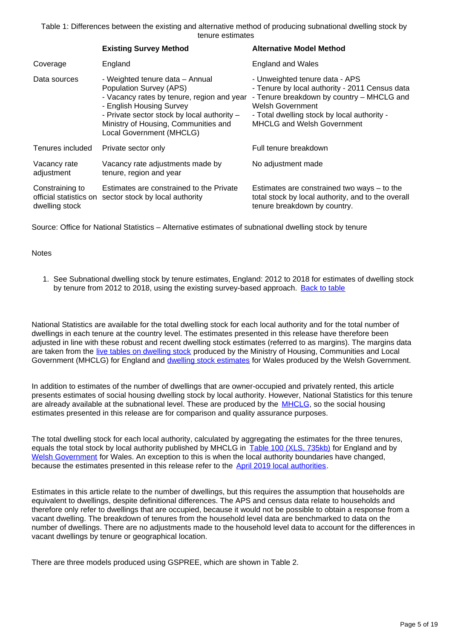Table 1: Differences between the existing and alternative method of producing subnational dwelling stock by tenure estimates

|                                                             | <b>Existing Survey Method</b>                                                                                                                                                                                                                           | <b>Alternative Model Method</b>                                                                                                                                                                                                              |
|-------------------------------------------------------------|---------------------------------------------------------------------------------------------------------------------------------------------------------------------------------------------------------------------------------------------------------|----------------------------------------------------------------------------------------------------------------------------------------------------------------------------------------------------------------------------------------------|
| Coverage                                                    | England                                                                                                                                                                                                                                                 | <b>England and Wales</b>                                                                                                                                                                                                                     |
| Data sources                                                | - Weighted tenure data - Annual<br>Population Survey (APS)<br>- Vacancy rates by tenure, region and year<br>- English Housing Survey<br>- Private sector stock by local authority -<br>Ministry of Housing, Communities and<br>Local Government (MHCLG) | - Unweighted tenure data - APS<br>- Tenure by local authority - 2011 Census data<br>- Tenure breakdown by country - MHCLG and<br><b>Welsh Government</b><br>- Total dwelling stock by local authority -<br><b>MHCLG and Welsh Government</b> |
| Tenures included                                            | Private sector only                                                                                                                                                                                                                                     | Full tenure breakdown                                                                                                                                                                                                                        |
| Vacancy rate<br>adjustment                                  | Vacancy rate adjustments made by<br>tenure, region and year                                                                                                                                                                                             | No adjustment made                                                                                                                                                                                                                           |
| Constraining to<br>official statistics on<br>dwelling stock | Estimates are constrained to the Private<br>sector stock by local authority                                                                                                                                                                             | Estimates are constrained two ways $-$ to the<br>total stock by local authority, and to the overall<br>tenure breakdown by country.                                                                                                          |

Source: Office for National Statistics – Alternative estimates of subnational dwelling stock by tenure

#### **Notes**

1. See Subnational dwelling stock by tenure estimates, England: 2012 to 2018 for estimates of dwelling stock by tenure from 2012 to 2018, using the existing survey-based approach. [Back to table](#page-0-0)

National Statistics are available for the total dwelling stock for each local authority and for the total number of dwellings in each tenure at the country level. The estimates presented in this release have therefore been adjusted in line with these robust and recent dwelling stock estimates (referred to as margins). The margins data are taken from the [live tables on dwelling stock](https://www.gov.uk/government/statistical-data-sets/live-tables-on-dwelling-stock-including-vacants) produced by the Ministry of Housing, Communities and Local Government (MHCLG) for England and **[dwelling stock estimates](https://statswales.gov.wales/Catalogue/Housing/Dwelling-Stock-Estimates/dwellingstockestimates-by-localauthority-tenure)** for Wales produced by the Welsh Government.

In addition to estimates of the number of dwellings that are owner-occupied and privately rented, this article presents estimates of social housing dwelling stock by local authority. However, National Statistics for this tenure are already available at the subnational level. These are produced by the **MHCLG**, so the social housing estimates presented in this release are for comparison and quality assurance purposes.

The total dwelling stock for each local authority, calculated by aggregating the estimates for the three tenures, equals the total stock by local authority published by MHCLG in [Table 100 \(XLS, 735kb\)](https://assets.publishing.service.gov.uk/government/uploads/system/uploads/attachment_data/file/814669/LT_100.xls) for England and by [Welsh Government](https://statswales.gov.wales/Catalogue/Housing/Dwelling-Stock-Estimates/dwellingstockestimates-by-localauthority-tenure) for Wales. An exception to this is when the local authority boundaries have changed, because the estimates presented in this release refer to the [April 2019 local authorities](https://geoportal.statistics.gov.uk/datasets/local-authority-districts-april-2019-names-and-codes-in-the-united-kingdom).

Estimates in this article relate to the number of dwellings, but this requires the assumption that households are equivalent to dwellings, despite definitional differences. The APS and census data relate to households and therefore only refer to dwellings that are occupied, because it would not be possible to obtain a response from a vacant dwelling. The breakdown of tenures from the household level data are benchmarked to data on the number of dwellings. There are no adjustments made to the household level data to account for the differences in vacant dwellings by tenure or geographical location.

There are three models produced using GSPREE, which are shown in Table 2.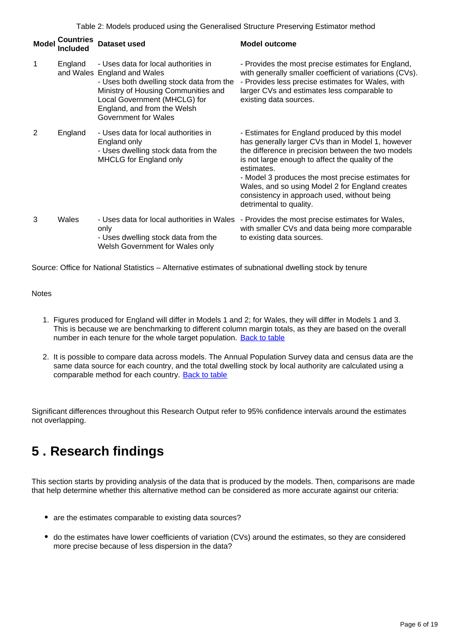Table 2: Models produced using the Generalised Structure Preserving Estimator method

| <b>Model</b> | <b>Countries</b><br>Included | <b>Dataset used</b>                                                                                                                                                                                                                           | <b>Model outcome</b>                                                                                                                                                                                                                                                                                                                                                                                          |
|--------------|------------------------------|-----------------------------------------------------------------------------------------------------------------------------------------------------------------------------------------------------------------------------------------------|---------------------------------------------------------------------------------------------------------------------------------------------------------------------------------------------------------------------------------------------------------------------------------------------------------------------------------------------------------------------------------------------------------------|
| 1            | England                      | - Uses data for local authorities in<br>and Wales England and Wales<br>- Uses both dwelling stock data from the<br>Ministry of Housing Communities and<br>Local Government (MHCLG) for<br>England, and from the Welsh<br>Government for Wales | - Provides the most precise estimates for England,<br>with generally smaller coefficient of variations (CVs).<br>- Provides less precise estimates for Wales, with<br>larger CVs and estimates less comparable to<br>existing data sources.                                                                                                                                                                   |
| 2            | England                      | - Uses data for local authorities in<br>England only<br>- Uses dwelling stock data from the<br>MHCLG for England only                                                                                                                         | - Estimates for England produced by this model<br>has generally larger CVs than in Model 1, however<br>the difference in precision between the two models<br>is not large enough to affect the quality of the<br>estimates.<br>- Model 3 produces the most precise estimates for<br>Wales, and so using Model 2 for England creates<br>consistency in approach used, without being<br>detrimental to quality. |
| 3            | Wales                        | - Uses data for local authorities in Wales<br>only<br>- Uses dwelling stock data from the<br>Welsh Government for Wales only                                                                                                                  | - Provides the most precise estimates for Wales,<br>with smaller CVs and data being more comparable<br>to existing data sources.                                                                                                                                                                                                                                                                              |

Source: Office for National Statistics – Alternative estimates of subnational dwelling stock by tenure

#### **Notes**

- 1. Figures produced for England will differ in Models 1 and 2; for Wales, they will differ in Models 1 and 3. This is because we are benchmarking to different column margin totals, as they are based on the overall number in each tenure for the whole target population. [Back to table](#page-0-0)
- 2. It is possible to compare data across models. The Annual Population Survey data and census data are the same data source for each country, and the total dwelling stock by local authority are calculated using a comparable method for each country. [Back to table](#page-0-0)

Significant differences throughout this Research Output refer to 95% confidence intervals around the estimates not overlapping.

## <span id="page-5-0"></span>**5 . Research findings**

This section starts by providing analysis of the data that is produced by the models. Then, comparisons are made that help determine whether this alternative method can be considered as more accurate against our criteria:

- are the estimates comparable to existing data sources?
- do the estimates have lower coefficients of variation (CVs) around the estimates, so they are considered more precise because of less dispersion in the data?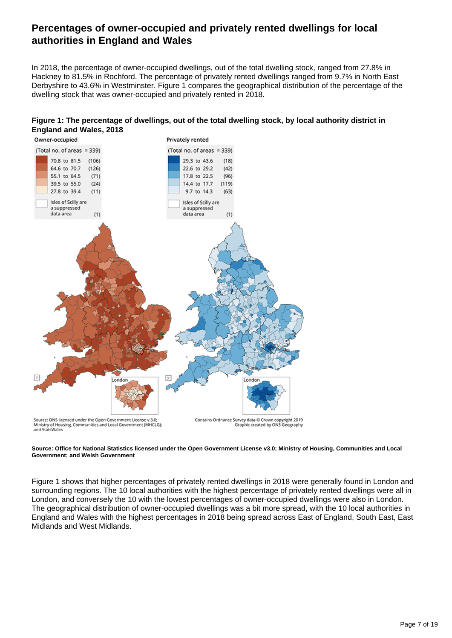### **Percentages of owner-occupied and privately rented dwellings for local authorities in England and Wales**

In 2018, the percentage of owner-occupied dwellings, out of the total dwelling stock, ranged from 27.8% in Hackney to 81.5% in Rochford. The percentage of privately rented dwellings ranged from 9.7% in North East Derbyshire to 43.6% in Westminster. Figure 1 compares the geographical distribution of the percentage of the dwelling stock that was owner-occupied and privately rented in 2018.





**Source: Office for National Statistics licensed under the Open Government License v3.0; Ministry of Housing, Communities and Local Government; and Welsh Government**

Figure 1 shows that higher percentages of privately rented dwellings in 2018 were generally found in London and surrounding regions. The 10 local authorities with the highest percentage of privately rented dwellings were all in London, and conversely the 10 with the lowest percentages of owner-occupied dwellings were also in London. The geographical distribution of owner-occupied dwellings was a bit more spread, with the 10 local authorities in England and Wales with the highest percentages in 2018 being spread across East of England, South East, East Midlands and West Midlands.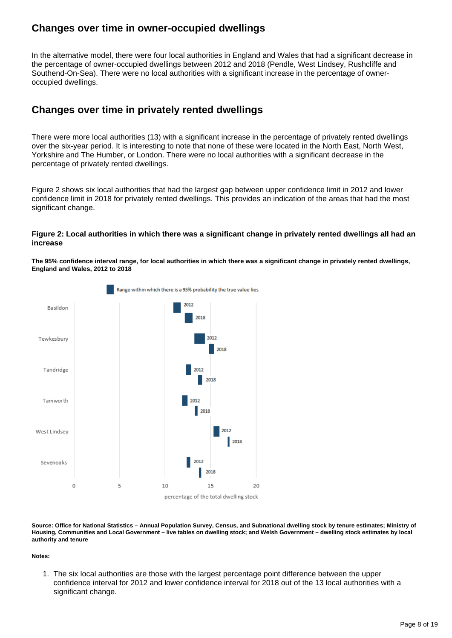### **Changes over time in owner-occupied dwellings**

In the alternative model, there were four local authorities in England and Wales that had a significant decrease in the percentage of owner-occupied dwellings between 2012 and 2018 (Pendle, West Lindsey, Rushcliffe and Southend-On-Sea). There were no local authorities with a significant increase in the percentage of owneroccupied dwellings.

### **Changes over time in privately rented dwellings**

There were more local authorities (13) with a significant increase in the percentage of privately rented dwellings over the six-year period. It is interesting to note that none of these were located in the North East, North West, Yorkshire and The Humber, or London. There were no local authorities with a significant decrease in the percentage of privately rented dwellings.

Figure 2 shows six local authorities that had the largest gap between upper confidence limit in 2012 and lower confidence limit in 2018 for privately rented dwellings. This provides an indication of the areas that had the most significant change.

#### **Figure 2: Local authorities in which there was a significant change in privately rented dwellings all had an increase**

**The 95% confidence interval range, for local authorities in which there was a significant change in privately rented dwellings, England and Wales, 2012 to 2018**



**Source: Office for National Statistics – Annual Population Survey, Census, and Subnational dwelling stock by tenure estimates; Ministry of Housing, Communities and Local Government – live tables on dwelling stock; and Welsh Government – dwelling stock estimates by local authority and tenure**

**Notes:**

1. The six local authorities are those with the largest percentage point difference between the upper confidence interval for 2012 and lower confidence interval for 2018 out of the 13 local authorities with a significant change.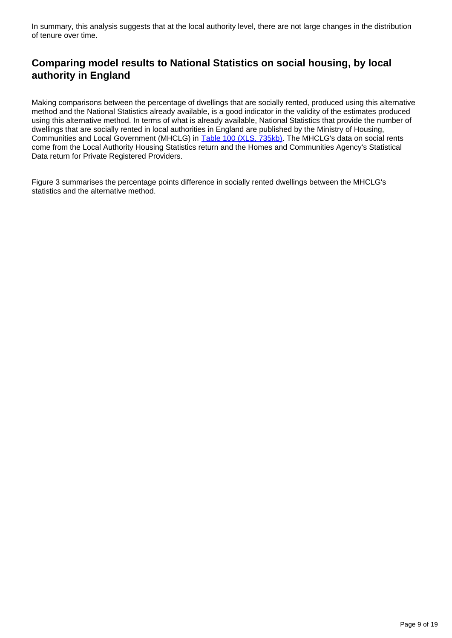In summary, this analysis suggests that at the local authority level, there are not large changes in the distribution of tenure over time.

### **Comparing model results to National Statistics on social housing, by local authority in England**

Making comparisons between the percentage of dwellings that are socially rented, produced using this alternative method and the National Statistics already available, is a good indicator in the validity of the estimates produced using this alternative method. In terms of what is already available, National Statistics that provide the number of dwellings that are socially rented in local authorities in England are published by the Ministry of Housing, Communities and Local Government (MHCLG) in [Table 100 \(XLS, 735kb\)](https://assets.publishing.service.gov.uk/government/uploads/system/uploads/attachment_data/file/814669/LT_100.xls). The MHCLG's data on social rents come from the Local Authority Housing Statistics return and the Homes and Communities Agency's Statistical Data return for Private Registered Providers.

Figure 3 summarises the percentage points difference in socially rented dwellings between the MHCLG's statistics and the alternative method.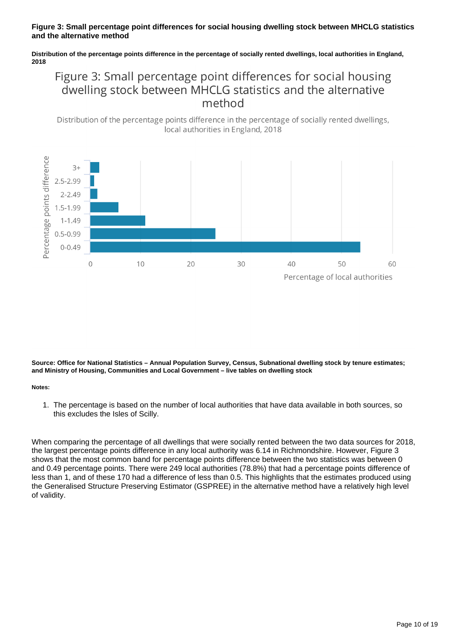#### **Figure 3: Small percentage point differences for social housing dwelling stock between MHCLG statistics and the alternative method**

**Distribution of the percentage points difference in the percentage of socially rented dwellings, local authorities in England, 2018**

### Figure 3: Small percentage point differences for social housing dwelling stock between MHCLG statistics and the alternative method





**Source: Office for National Statistics – Annual Population Survey, Census, Subnational dwelling stock by tenure estimates; and Ministry of Housing, Communities and Local Government – live tables on dwelling stock**

#### **Notes:**

1. The percentage is based on the number of local authorities that have data available in both sources, so this excludes the Isles of Scilly.

When comparing the percentage of all dwellings that were socially rented between the two data sources for 2018, the largest percentage points difference in any local authority was 6.14 in Richmondshire. However, Figure 3 shows that the most common band for percentage points difference between the two statistics was between 0 and 0.49 percentage points. There were 249 local authorities (78.8%) that had a percentage points difference of less than 1, and of these 170 had a difference of less than 0.5. This highlights that the estimates produced using the Generalised Structure Preserving Estimator (GSPREE) in the alternative method have a relatively high level of validity.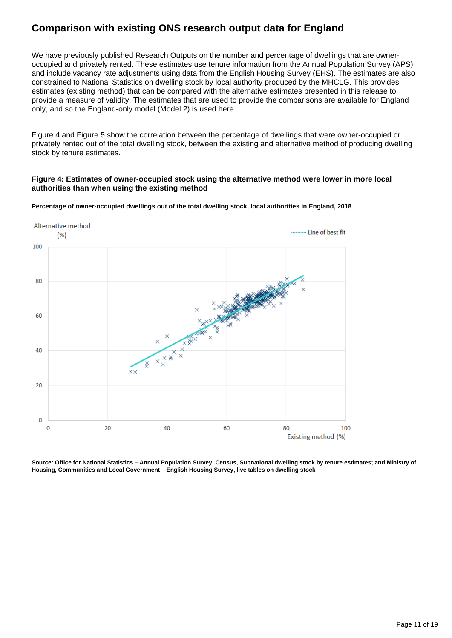### **Comparison with existing ONS research output data for England**

We have previously published Research Outputs on the number and percentage of dwellings that are owneroccupied and privately rented. These estimates use tenure information from the Annual Population Survey (APS) and include vacancy rate adjustments using data from the English Housing Survey (EHS). The estimates are also constrained to National Statistics on dwelling stock by local authority produced by the MHCLG. This provides estimates (existing method) that can be compared with the alternative estimates presented in this release to provide a measure of validity. The estimates that are used to provide the comparisons are available for England only, and so the England-only model (Model 2) is used here.

Figure 4 and Figure 5 show the correlation between the percentage of dwellings that were owner-occupied or privately rented out of the total dwelling stock, between the existing and alternative method of producing dwelling stock by tenure estimates.

#### **Figure 4: Estimates of owner-occupied stock using the alternative method were lower in more local authorities than when using the existing method**





**Source: Office for National Statistics – Annual Population Survey, Census, Subnational dwelling stock by tenure estimates; and Ministry of Housing, Communities and Local Government – English Housing Survey, live tables on dwelling stock**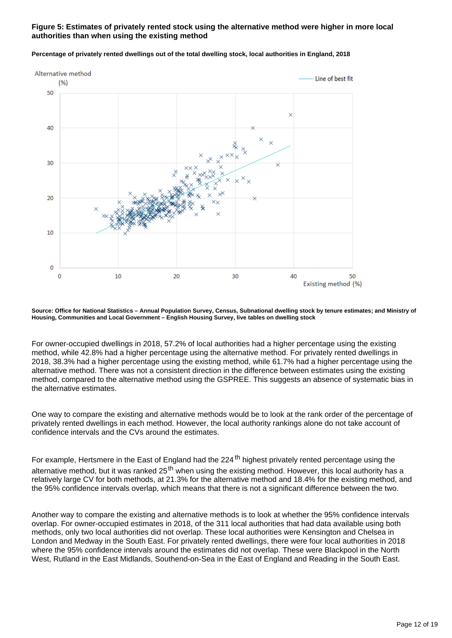#### **Figure 5: Estimates of privately rented stock using the alternative method were higher in more local authorities than when using the existing method**



#### **Percentage of privately rented dwellings out of the total dwelling stock, local authorities in England, 2018**

**Source: Office for National Statistics – Annual Population Survey, Census, Subnational dwelling stock by tenure estimates; and Ministry of Housing, Communities and Local Government – English Housing Survey, live tables on dwelling stock**

For owner-occupied dwellings in 2018, 57.2% of local authorities had a higher percentage using the existing method, while 42.8% had a higher percentage using the alternative method. For privately rented dwellings in 2018, 38.3% had a higher percentage using the existing method, while 61.7% had a higher percentage using the alternative method. There was not a consistent direction in the difference between estimates using the existing method, compared to the alternative method using the GSPREE. This suggests an absence of systematic bias in the alternative estimates.

One way to compare the existing and alternative methods would be to look at the rank order of the percentage of privately rented dwellings in each method. However, the local authority rankings alone do not take account of confidence intervals and the CVs around the estimates.

For example, Hertsmere in the East of England had the 224<sup>th</sup> highest privately rented percentage using the alternative method, but it was ranked 25<sup>th</sup> when using the existing method. However, this local authority has a relatively large CV for both methods, at 21.3% for the alternative method and 18.4% for the existing method, and the 95% confidence intervals overlap, which means that there is not a significant difference between the two.

Another way to compare the existing and alternative methods is to look at whether the 95% confidence intervals overlap. For owner-occupied estimates in 2018, of the 311 local authorities that had data available using both methods, only two local authorities did not overlap. These local authorities were Kensington and Chelsea in London and Medway in the South East. For privately rented dwellings, there were four local authorities in 2018 where the 95% confidence intervals around the estimates did not overlap. These were Blackpool in the North West, Rutland in the East Midlands, Southend-on-Sea in the East of England and Reading in the South East.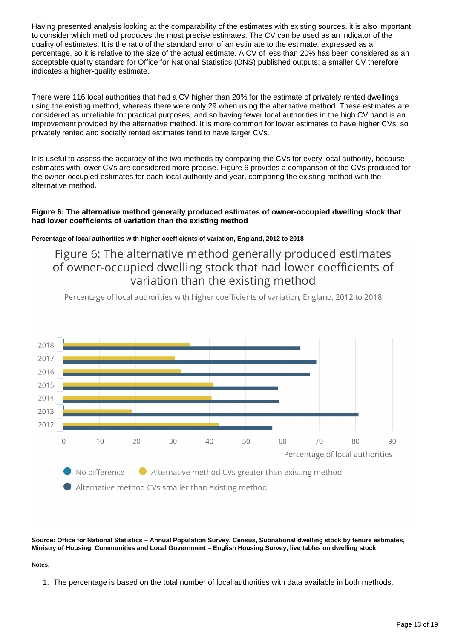Having presented analysis looking at the comparability of the estimates with existing sources, it is also important to consider which method produces the most precise estimates. The CV can be used as an indicator of the quality of estimates. It is the ratio of the standard error of an estimate to the estimate, expressed as a percentage, so it is relative to the size of the actual estimate. A CV of less than 20% has been considered as an acceptable quality standard for Office for National Statistics (ONS) published outputs; a smaller CV therefore indicates a higher-quality estimate.

There were 116 local authorities that had a CV higher than 20% for the estimate of privately rented dwellings using the existing method, whereas there were only 29 when using the alternative method. These estimates are considered as unreliable for practical purposes, and so having fewer local authorities in the high CV band is an improvement provided by the alternative method. It is more common for lower estimates to have higher CVs, so privately rented and socially rented estimates tend to have larger CVs.

It is useful to assess the accuracy of the two methods by comparing the CVs for every local authority, because estimates with lower CVs are considered more precise. Figure 6 provides a comparison of the CVs produced for the owner-occupied estimates for each local authority and year, comparing the existing method with the alternative method.

#### **Figure 6: The alternative method generally produced estimates of owner-occupied dwelling stock that had lower coefficients of variation than the existing method**

#### **Percentage of local authorities with higher coefficients of variation, England, 2012 to 2018**

### Figure 6: The alternative method generally produced estimates of owner-occupied dwelling stock that had lower coefficients of variation than the existing method

Percentage of local authorities with higher coefficients of variation, England, 2012 to 2018



**Source: Office for National Statistics – Annual Population Survey, Census, Subnational dwelling stock by tenure estimates, Ministry of Housing, Communities and Local Government – English Housing Survey, live tables on dwelling stock**

#### **Notes:**

1. The percentage is based on the total number of local authorities with data available in both methods.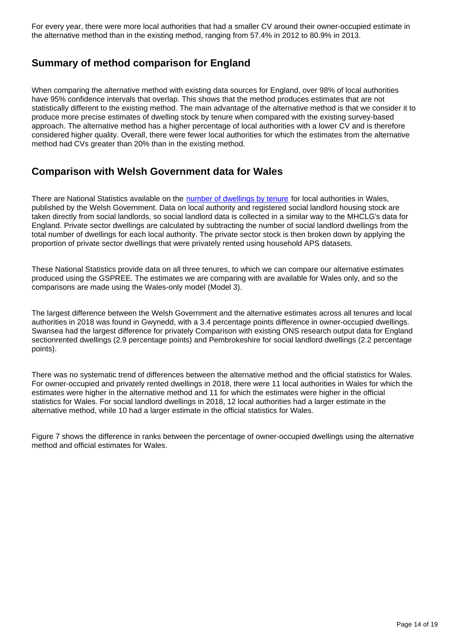For every year, there were more local authorities that had a smaller CV around their owner-occupied estimate in the alternative method than in the existing method, ranging from 57.4% in 2012 to 80.9% in 2013.

### **Summary of method comparison for England**

When comparing the alternative method with existing data sources for England, over 98% of local authorities have 95% confidence intervals that overlap. This shows that the method produces estimates that are not statistically different to the existing method. The main advantage of the alternative method is that we consider it to produce more precise estimates of dwelling stock by tenure when compared with the existing survey-based approach. The alternative method has a higher percentage of local authorities with a lower CV and is therefore considered higher quality. Overall, there were fewer local authorities for which the estimates from the alternative method had CVs greater than 20% than in the existing method.

### **Comparison with Welsh Government data for Wales**

There are National Statistics available on the [number of dwellings by tenure](https://statswales.gov.wales/Catalogue/Housing/Dwelling-Stock-Estimates/dwellingstockestimates-by-localauthority-tenure) for local authorities in Wales, published by the Welsh Government. Data on local authority and registered social landlord housing stock are taken directly from social landlords, so social landlord data is collected in a similar way to the MHCLG's data for England. Private sector dwellings are calculated by subtracting the number of social landlord dwellings from the total number of dwellings for each local authority. The private sector stock is then broken down by applying the proportion of private sector dwellings that were privately rented using household APS datasets.

These National Statistics provide data on all three tenures, to which we can compare our alternative estimates produced using the GSPREE. The estimates we are comparing with are available for Wales only, and so the comparisons are made using the Wales-only model (Model 3).

The largest difference between the Welsh Government and the alternative estimates across all tenures and local authorities in 2018 was found in Gwynedd, with a 3.4 percentage points difference in owner-occupied dwellings. Swansea had the largest difference for privately Comparison with existing ONS research output data for England sectionrented dwellings (2.9 percentage points) and Pembrokeshire for social landlord dwellings (2.2 percentage points).

There was no systematic trend of differences between the alternative method and the official statistics for Wales. For owner-occupied and privately rented dwellings in 2018, there were 11 local authorities in Wales for which the estimates were higher in the alternative method and 11 for which the estimates were higher in the official statistics for Wales. For social landlord dwellings in 2018, 12 local authorities had a larger estimate in the alternative method, while 10 had a larger estimate in the official statistics for Wales.

Figure 7 shows the difference in ranks between the percentage of owner-occupied dwellings using the alternative method and official estimates for Wales.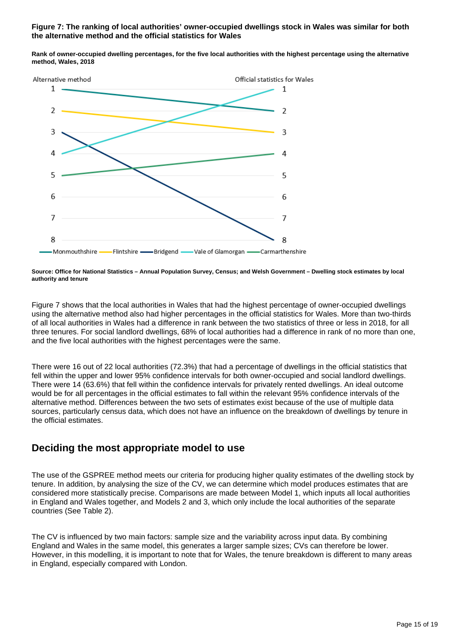#### **Figure 7: The ranking of local authorities' owner-occupied dwellings stock in Wales was similar for both the alternative method and the official statistics for Wales**

**Rank of owner-occupied dwelling percentages, for the five local authorities with the highest percentage using the alternative method, Wales, 2018**



**Source: Office for National Statistics – Annual Population Survey, Census; and Welsh Government – Dwelling stock estimates by local authority and tenure**

Figure 7 shows that the local authorities in Wales that had the highest percentage of owner-occupied dwellings using the alternative method also had higher percentages in the official statistics for Wales. More than two-thirds of all local authorities in Wales had a difference in rank between the two statistics of three or less in 2018, for all three tenures. For social landlord dwellings, 68% of local authorities had a difference in rank of no more than one, and the five local authorities with the highest percentages were the same.

There were 16 out of 22 local authorities (72.3%) that had a percentage of dwellings in the official statistics that fell within the upper and lower 95% confidence intervals for both owner-occupied and social landlord dwellings. There were 14 (63.6%) that fell within the confidence intervals for privately rented dwellings. An ideal outcome would be for all percentages in the official estimates to fall within the relevant 95% confidence intervals of the alternative method. Differences between the two sets of estimates exist because of the use of multiple data sources, particularly census data, which does not have an influence on the breakdown of dwellings by tenure in the official estimates.

### **Deciding the most appropriate model to use**

The use of the GSPREE method meets our criteria for producing higher quality estimates of the dwelling stock by tenure. In addition, by analysing the size of the CV, we can determine which model produces estimates that are considered more statistically precise. Comparisons are made between Model 1, which inputs all local authorities in England and Wales together, and Models 2 and 3, which only include the local authorities of the separate countries (See Table 2).

The CV is influenced by two main factors: sample size and the variability across input data. By combining England and Wales in the same model, this generates a larger sample sizes; CVs can therefore be lower. However, in this modelling, it is important to note that for Wales, the tenure breakdown is different to many areas in England, especially compared with London.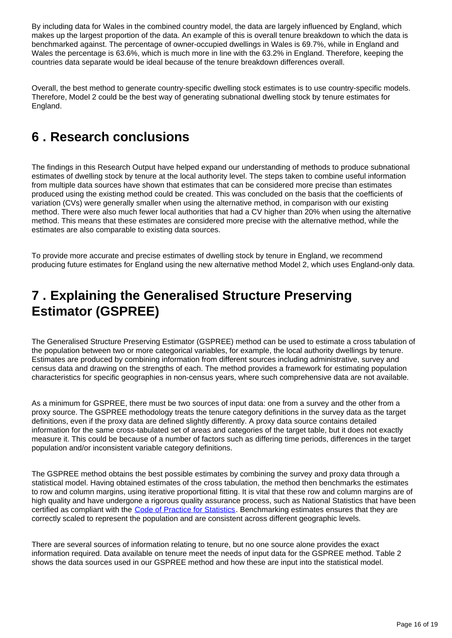By including data for Wales in the combined country model, the data are largely influenced by England, which makes up the largest proportion of the data. An example of this is overall tenure breakdown to which the data is benchmarked against. The percentage of owner-occupied dwellings in Wales is 69.7%, while in England and Wales the percentage is 63.6%, which is much more in line with the 63.2% in England. Therefore, keeping the countries data separate would be ideal because of the tenure breakdown differences overall.

Overall, the best method to generate country-specific dwelling stock estimates is to use country-specific models. Therefore, Model 2 could be the best way of generating subnational dwelling stock by tenure estimates for England.

## <span id="page-15-0"></span>**6 . Research conclusions**

The findings in this Research Output have helped expand our understanding of methods to produce subnational estimates of dwelling stock by tenure at the local authority level. The steps taken to combine useful information from multiple data sources have shown that estimates that can be considered more precise than estimates produced using the existing method could be created. This was concluded on the basis that the coefficients of variation (CVs) were generally smaller when using the alternative method, in comparison with our existing method. There were also much fewer local authorities that had a CV higher than 20% when using the alternative method. This means that these estimates are considered more precise with the alternative method, while the estimates are also comparable to existing data sources.

To provide more accurate and precise estimates of dwelling stock by tenure in England, we recommend producing future estimates for England using the new alternative method Model 2, which uses England-only data.

## <span id="page-15-1"></span>**7 . Explaining the Generalised Structure Preserving Estimator (GSPREE)**

The Generalised Structure Preserving Estimator (GSPREE) method can be used to estimate a cross tabulation of the population between two or more categorical variables, for example, the local authority dwellings by tenure. Estimates are produced by combining information from different sources including administrative, survey and census data and drawing on the strengths of each. The method provides a framework for estimating population characteristics for specific geographies in non-census years, where such comprehensive data are not available.

As a minimum for GSPREE, there must be two sources of input data: one from a survey and the other from a proxy source. The GSPREE methodology treats the tenure category definitions in the survey data as the target definitions, even if the proxy data are defined slightly differently. A proxy data source contains detailed information for the same cross-tabulated set of areas and categories of the target table, but it does not exactly measure it. This could be because of a number of factors such as differing time periods, differences in the target population and/or inconsistent variable category definitions.

The GSPREE method obtains the best possible estimates by combining the survey and proxy data through a statistical model. Having obtained estimates of the cross tabulation, the method then benchmarks the estimates to row and column margins, using iterative proportional fitting. It is vital that these row and column margins are of high quality and have undergone a rigorous quality assurance process, such as National Statistics that have been certified as compliant with the [Code of Practice for Statistics.](https://www.statisticsauthority.gov.uk/code-of-practice/the-code/) Benchmarking estimates ensures that they are correctly scaled to represent the population and are consistent across different geographic levels.

There are several sources of information relating to tenure, but no one source alone provides the exact information required. Data available on tenure meet the needs of input data for the GSPREE method. Table 2 shows the data sources used in our GSPREE method and how these are input into the statistical model.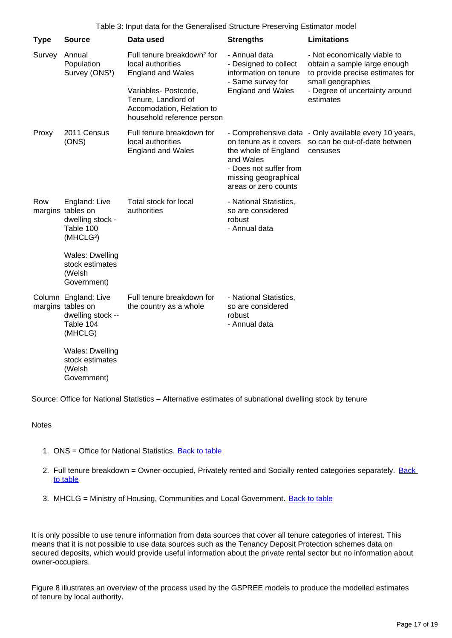| <b>Type</b> | <b>Source</b>                                                                                | Data used                                                                                                                                                                                         | <b>Strengths</b>                                                                                                                      | <b>Limitations</b>                                                                                                                                                   |
|-------------|----------------------------------------------------------------------------------------------|---------------------------------------------------------------------------------------------------------------------------------------------------------------------------------------------------|---------------------------------------------------------------------------------------------------------------------------------------|----------------------------------------------------------------------------------------------------------------------------------------------------------------------|
| Survey      | Annual<br>Population<br>Survey (ONS <sup>1</sup> )                                           | Full tenure breakdown <sup>2</sup> for<br>local authorities<br><b>England and Wales</b><br>Variables- Postcode,<br>Tenure, Landlord of<br>Accomodation, Relation to<br>household reference person | - Annual data<br>- Designed to collect<br>information on tenure<br>- Same survey for<br><b>England and Wales</b>                      | - Not economically viable to<br>obtain a sample large enough<br>to provide precise estimates for<br>small geographies<br>- Degree of uncertainty around<br>estimates |
| Proxy       | 2011 Census<br>(ONS)                                                                         | Full tenure breakdown for<br>local authorities<br><b>England and Wales</b>                                                                                                                        | on tenure as it covers<br>the whole of England<br>and Wales<br>- Does not suffer from<br>missing geographical<br>areas or zero counts | - Comprehensive data - Only available every 10 years,<br>so can be out-of-date between<br>censuses                                                                   |
| Row         | England: Live<br>margins tables on<br>dwelling stock -<br>Table 100<br>(MHCLG <sup>3</sup> ) | Total stock for local<br>authorities                                                                                                                                                              | - National Statistics,<br>so are considered<br>robust<br>- Annual data                                                                |                                                                                                                                                                      |
|             | Wales: Dwelling<br>stock estimates<br>(Welsh<br>Government)                                  |                                                                                                                                                                                                   |                                                                                                                                       |                                                                                                                                                                      |
|             | Column England: Live<br>margins tables on<br>dwelling stock --<br>Table 104<br>(MHCLG)       | Full tenure breakdown for<br>the country as a whole                                                                                                                                               | - National Statistics,<br>so are considered<br>robust<br>- Annual data                                                                |                                                                                                                                                                      |
|             | Wales: Dwelling<br>stock estimates<br>(Welsh<br>Government)                                  |                                                                                                                                                                                                   |                                                                                                                                       |                                                                                                                                                                      |

Source: Office for National Statistics – Alternative estimates of subnational dwelling stock by tenure

#### Notes

- 1. ONS = Office for National Statistics. **[Back to table](#page-0-0)**
- 2. Full tenure breakdown = Owner-occupied, Privately rented and Socially rented categories separately. Back [to table](#page-0-0)
- 3. MHCLG = Ministry of Housing, Communities and Local Government. **[Back to table](#page-0-0)**

It is only possible to use tenure information from data sources that cover all tenure categories of interest. This means that it is not possible to use data sources such as the Tenancy Deposit Protection schemes data on secured deposits, which would provide useful information about the private rental sector but no information about owner-occupiers.

Figure 8 illustrates an overview of the process used by the GSPREE models to produce the modelled estimates of tenure by local authority.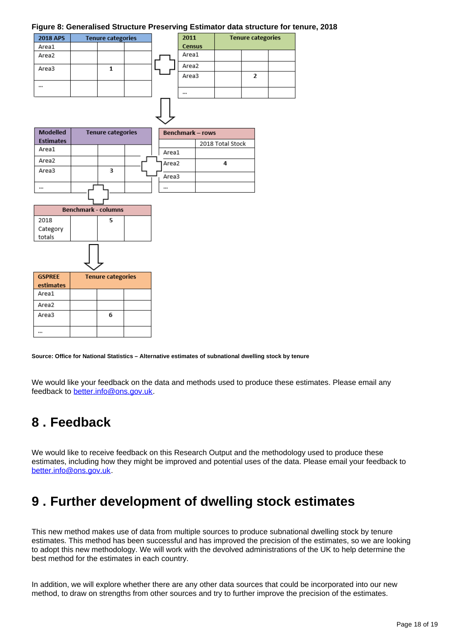#### **Figure 8: Generalised Structure Preserving Estimator data structure for tenure, 2018**

| <b>2018 APS</b> | <b>Tenure categories</b> |  |  |  |
|-----------------|--------------------------|--|--|--|
| Area1           |                          |  |  |  |
| Area2           |                          |  |  |  |
| Area3           |                          |  |  |  |
|                 |                          |  |  |  |
|                 |                          |  |  |  |

|                  | 2011          | <b>Tenure categories</b> |                |  |
|------------------|---------------|--------------------------|----------------|--|
|                  | <b>Census</b> |                          |                |  |
|                  | Area1         |                          |                |  |
|                  | Area2         |                          |                |  |
|                  | Area3         |                          | $\overline{2}$ |  |
|                  |               |                          |                |  |
|                  |               |                          |                |  |
| Benchmark – rows |               |                          |                |  |

| <b>Modelled</b>  | <b>Tenure categories</b> |   | <b>Benchmark - rows</b> |       |                  |
|------------------|--------------------------|---|-------------------------|-------|------------------|
| <b>Estimates</b> |                          |   |                         |       | 2018 Total Stock |
| Area1            |                          |   |                         | Area1 |                  |
| Area2            |                          |   |                         | Area2 |                  |
| Area3            |                          | з |                         | Area3 |                  |
|                  |                          |   |                         |       |                  |



**Source: Office for National Statistics – Alternative estimates of subnational dwelling stock by tenure**

We would like your feedback on the data and methods used to produce these estimates. Please email any feedback to better.info@ons.gov.uk.

## <span id="page-17-0"></span>**8 . Feedback**

We would like to receive feedback on this Research Output and the methodology used to produce these estimates, including how they might be improved and potential uses of the data. Please email your feedback to better.info@ons.gov.uk.

## <span id="page-17-1"></span>**9 . Further development of dwelling stock estimates**

This new method makes use of data from multiple sources to produce subnational dwelling stock by tenure estimates. This method has been successful and has improved the precision of the estimates, so we are looking to adopt this new methodology. We will work with the devolved administrations of the UK to help determine the best method for the estimates in each country.

In addition, we will explore whether there are any other data sources that could be incorporated into our new method, to draw on strengths from other sources and try to further improve the precision of the estimates.